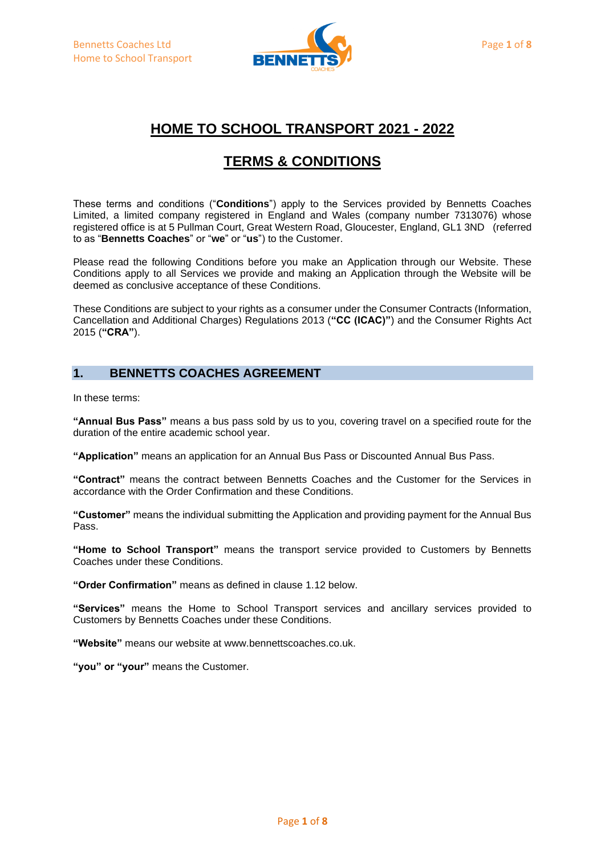

# **HOME TO SCHOOL TRANSPORT 2021 - 2022**

# **TERMS & CONDITIONS**

These terms and conditions ("**Conditions**") apply to the Services provided by Bennetts Coaches Limited, a limited company registered in England and Wales (company number 7313076) whose registered office is at 5 Pullman Court, Great Western Road, Gloucester, England, GL1 3ND (referred to as "**Bennetts Coaches**" or "**we**" or "**us**") to the Customer.

Please read the following Conditions before you make an Application through our Website. These Conditions apply to all Services we provide and making an Application through the Website will be deemed as conclusive acceptance of these Conditions.

These Conditions are subject to your rights as a consumer under the Consumer Contracts (Information, Cancellation and Additional Charges) Regulations 2013 (**"CC (ICAC)"**) and the Consumer Rights Act 2015 (**"CRA"**).

## **1. BENNETTS COACHES AGREEMENT**

In these terms:

**"Annual Bus Pass"** means a bus pass sold by us to you, covering travel on a specified route for the duration of the entire academic school year.

**"Application"** means an application for an Annual Bus Pass or Discounted Annual Bus Pass.

**"Contract"** means the contract between Bennetts Coaches and the Customer for the Services in accordance with the Order Confirmation and these Conditions.

**"Customer"** means the individual submitting the Application and providing payment for the Annual Bus Pass.

**"Home to School Transport"** means the transport service provided to Customers by Bennetts Coaches under these Conditions.

**"Order Confirmation"** means as defined in clause 1.12 below.

**"Services"** means the Home to School Transport services and ancillary services provided to Customers by Bennetts Coaches under these Conditions.

**"Website"** means our website at www.bennettscoaches.co.uk.

**"you" or "your"** means the Customer.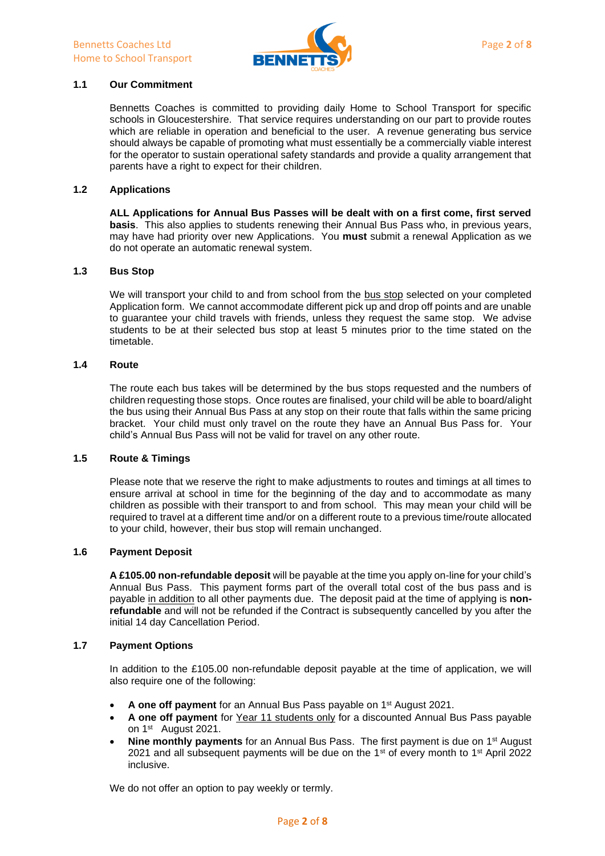

## **1.1 Our Commitment**

Bennetts Coaches is committed to providing daily Home to School Transport for specific schools in Gloucestershire. That service requires understanding on our part to provide routes which are reliable in operation and beneficial to the user. A revenue generating bus service should always be capable of promoting what must essentially be a commercially viable interest for the operator to sustain operational safety standards and provide a quality arrangement that parents have a right to expect for their children.

#### **1.2 Applications**

**ALL Applications for Annual Bus Passes will be dealt with on a first come, first served basis**. This also applies to students renewing their Annual Bus Pass who, in previous years, may have had priority over new Applications. You **must** submit a renewal Application as we do not operate an automatic renewal system.

#### **1.3 Bus Stop**

We will transport your child to and from school from the bus stop selected on your completed Application form. We cannot accommodate different pick up and drop off points and are unable to guarantee your child travels with friends, unless they request the same stop. We advise students to be at their selected bus stop at least 5 minutes prior to the time stated on the timetable.

## **1.4 Route**

The route each bus takes will be determined by the bus stops requested and the numbers of children requesting those stops. Once routes are finalised, your child will be able to board/alight the bus using their Annual Bus Pass at any stop on their route that falls within the same pricing bracket. Your child must only travel on the route they have an Annual Bus Pass for. Your child's Annual Bus Pass will not be valid for travel on any other route.

#### **1.5 Route & Timings**

Please note that we reserve the right to make adjustments to routes and timings at all times to ensure arrival at school in time for the beginning of the day and to accommodate as many children as possible with their transport to and from school. This may mean your child will be required to travel at a different time and/or on a different route to a previous time/route allocated to your child, however, their bus stop will remain unchanged.

### **1.6 Payment Deposit**

**A £105.00 non-refundable deposit** will be payable at the time you apply on-line for your child's Annual Bus Pass. This payment forms part of the overall total cost of the bus pass and is payable in addition to all other payments due. The deposit paid at the time of applying is **nonrefundable** and will not be refunded if the Contract is subsequently cancelled by you after the initial 14 day Cancellation Period.

#### **1.7 Payment Options**

In addition to the £105.00 non-refundable deposit payable at the time of application, we will also require one of the following:

- A one off payment for an Annual Bus Pass payable on 1<sup>st</sup> August 2021.
- **A one off payment** for Year 11 students only for a discounted Annual Bus Pass payable on 1<sup>st</sup> August 2021.
- **Nine monthly payments** for an Annual Bus Pass. The first payment is due on 1<sup>st</sup> August 2021 and all subsequent payments will be due on the 1<sup>st</sup> of every month to 1<sup>st</sup> April 2022 inclusive.

We do not offer an option to pay weekly or termly.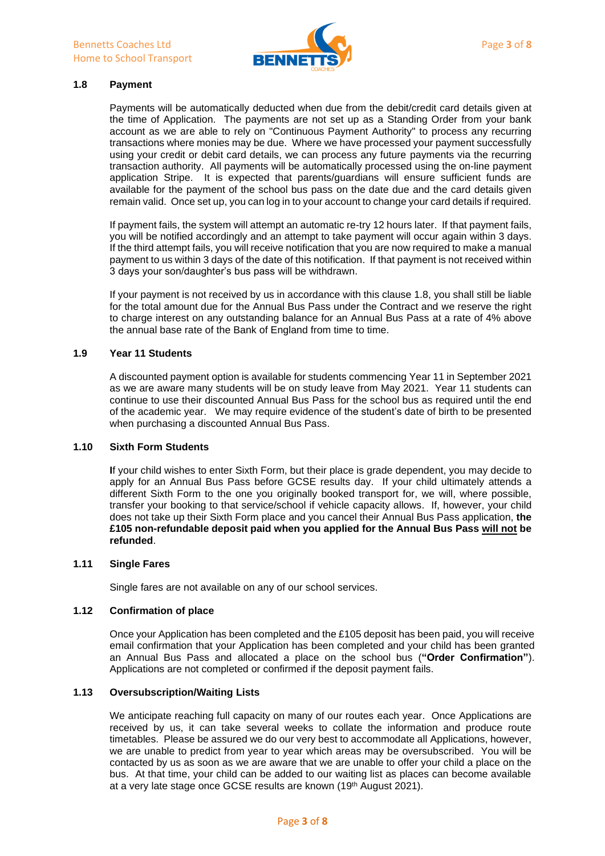

## **1.8 Payment**

Payments will be automatically deducted when due from the debit/credit card details given at the time of Application. The payments are not set up as a Standing Order from your bank account as we are able to rely on "Continuous Payment Authority" to process any recurring transactions where monies may be due. Where we have processed your payment successfully using your credit or debit card details, we can process any future payments via the recurring transaction authority. All payments will be automatically processed using the on-line payment application Stripe. It is expected that parents/guardians will ensure sufficient funds are available for the payment of the school bus pass on the date due and the card details given remain valid. Once set up, you can log in to your account to change your card details if required.

If payment fails, the system will attempt an automatic re-try 12 hours later. If that payment fails, you will be notified accordingly and an attempt to take payment will occur again within 3 days. If the third attempt fails, you will receive notification that you are now required to make a manual payment to us within 3 days of the date of this notification. If that payment is not received within 3 days your son/daughter's bus pass will be withdrawn.

If your payment is not received by us in accordance with this clause 1.8, you shall still be liable for the total amount due for the Annual Bus Pass under the Contract and we reserve the right to charge interest on any outstanding balance for an Annual Bus Pass at a rate of 4% above the annual base rate of the Bank of England from time to time.

## **1.9 Year 11 Students**

A discounted payment option is available for students commencing Year 11 in September 2021 as we are aware many students will be on study leave from May 2021. Year 11 students can continue to use their discounted Annual Bus Pass for the school bus as required until the end of the academic year. We may require evidence of the student's date of birth to be presented when purchasing a discounted Annual Bus Pass.

#### **1.10 Sixth Form Students**

**I**f your child wishes to enter Sixth Form, but their place is grade dependent, you may decide to apply for an Annual Bus Pass before GCSE results day. If your child ultimately attends a different Sixth Form to the one you originally booked transport for, we will, where possible, transfer your booking to that service/school if vehicle capacity allows. If, however, your child does not take up their Sixth Form place and you cancel their Annual Bus Pass application, **the £105 non-refundable deposit paid when you applied for the Annual Bus Pass will not be refunded**.

#### **1.11 Single Fares**

Single fares are not available on any of our school services.

#### **1.12 Confirmation of place**

Once your Application has been completed and the £105 deposit has been paid, you will receive email confirmation that your Application has been completed and your child has been granted an Annual Bus Pass and allocated a place on the school bus (**"Order Confirmation"**). Applications are not completed or confirmed if the deposit payment fails.

## **1.13 Oversubscription/Waiting Lists**

We anticipate reaching full capacity on many of our routes each year. Once Applications are received by us, it can take several weeks to collate the information and produce route timetables. Please be assured we do our very best to accommodate all Applications, however, we are unable to predict from year to year which areas may be oversubscribed. You will be contacted by us as soon as we are aware that we are unable to offer your child a place on the bus. At that time, your child can be added to our waiting list as places can become available at a very late stage once GCSE results are known (19th August 2021).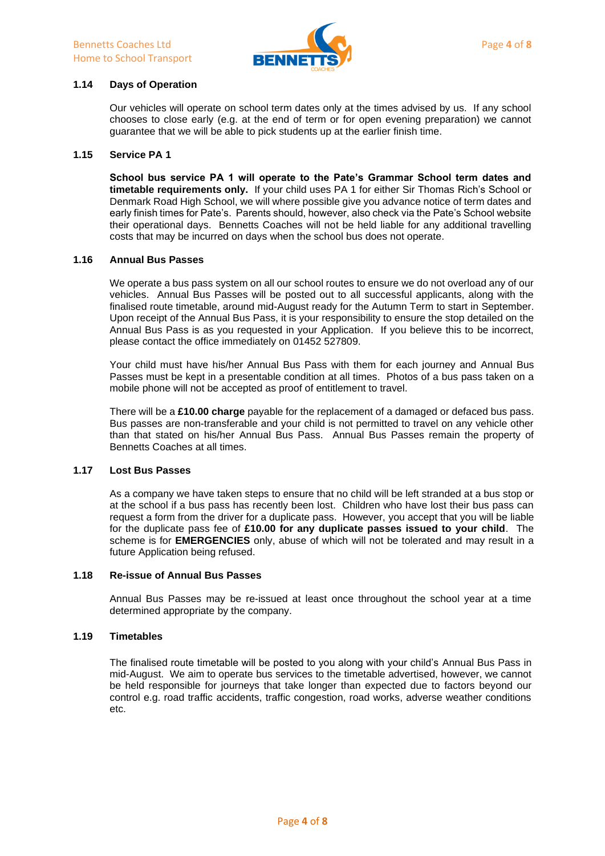

## **1.14 Days of Operation**

Our vehicles will operate on school term dates only at the times advised by us. If any school chooses to close early (e.g. at the end of term or for open evening preparation) we cannot guarantee that we will be able to pick students up at the earlier finish time.

#### **1.15 Service PA 1**

**School bus service PA 1 will operate to the Pate's Grammar School term dates and timetable requirements only.** If your child uses PA 1 for either Sir Thomas Rich's School or Denmark Road High School, we will where possible give you advance notice of term dates and early finish times for Pate's. Parents should, however, also check via the Pate's School website their operational days. Bennetts Coaches will not be held liable for any additional travelling costs that may be incurred on days when the school bus does not operate.

#### **1.16 Annual Bus Passes**

We operate a bus pass system on all our school routes to ensure we do not overload any of our vehicles. Annual Bus Passes will be posted out to all successful applicants, along with the finalised route timetable, around mid-August ready for the Autumn Term to start in September. Upon receipt of the Annual Bus Pass, it is your responsibility to ensure the stop detailed on the Annual Bus Pass is as you requested in your Application. If you believe this to be incorrect, please contact the office immediately on 01452 527809.

Your child must have his/her Annual Bus Pass with them for each journey and Annual Bus Passes must be kept in a presentable condition at all times. Photos of a bus pass taken on a mobile phone will not be accepted as proof of entitlement to travel.

There will be a **£10.00 charge** payable for the replacement of a damaged or defaced bus pass. Bus passes are non-transferable and your child is not permitted to travel on any vehicle other than that stated on his/her Annual Bus Pass. Annual Bus Passes remain the property of Bennetts Coaches at all times.

#### **1.17 Lost Bus Passes**

As a company we have taken steps to ensure that no child will be left stranded at a bus stop or at the school if a bus pass has recently been lost. Children who have lost their bus pass can request a form from the driver for a duplicate pass. However, you accept that you will be liable for the duplicate pass fee of **£10.00 for any duplicate passes issued to your child**. The scheme is for **EMERGENCIES** only, abuse of which will not be tolerated and may result in a future Application being refused.

## **1.18 Re-issue of Annual Bus Passes**

Annual Bus Passes may be re-issued at least once throughout the school year at a time determined appropriate by the company.

#### **1.19 Timetables**

The finalised route timetable will be posted to you along with your child's Annual Bus Pass in mid-August. We aim to operate bus services to the timetable advertised, however, we cannot be held responsible for journeys that take longer than expected due to factors beyond our control e.g. road traffic accidents, traffic congestion, road works, adverse weather conditions etc.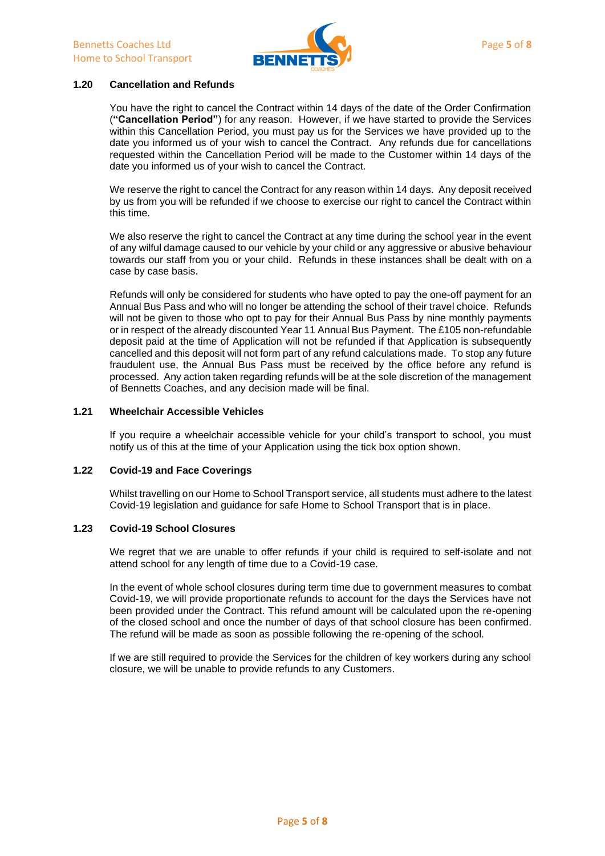

## **1.20 Cancellation and Refunds**

You have the right to cancel the Contract within 14 days of the date of the Order Confirmation (**"Cancellation Period"**) for any reason. However, if we have started to provide the Services within this Cancellation Period, you must pay us for the Services we have provided up to the date you informed us of your wish to cancel the Contract. Any refunds due for cancellations requested within the Cancellation Period will be made to the Customer within 14 days of the date you informed us of your wish to cancel the Contract.

We reserve the right to cancel the Contract for any reason within 14 days. Any deposit received by us from you will be refunded if we choose to exercise our right to cancel the Contract within this time.

We also reserve the right to cancel the Contract at any time during the school year in the event of any wilful damage caused to our vehicle by your child or any aggressive or abusive behaviour towards our staff from you or your child. Refunds in these instances shall be dealt with on a case by case basis.

Refunds will only be considered for students who have opted to pay the one-off payment for an Annual Bus Pass and who will no longer be attending the school of their travel choice. Refunds will not be given to those who opt to pay for their Annual Bus Pass by nine monthly payments or in respect of the already discounted Year 11 Annual Bus Payment. The £105 non-refundable deposit paid at the time of Application will not be refunded if that Application is subsequently cancelled and this deposit will not form part of any refund calculations made. To stop any future fraudulent use, the Annual Bus Pass must be received by the office before any refund is processed. Any action taken regarding refunds will be at the sole discretion of the management of Bennetts Coaches, and any decision made will be final.

#### **1.21 Wheelchair Accessible Vehicles**

If you require a wheelchair accessible vehicle for your child's transport to school, you must notify us of this at the time of your Application using the tick box option shown.

#### **1.22 Covid-19 and Face Coverings**

Whilst travelling on our Home to School Transport service, all students must adhere to the latest Covid-19 legislation and guidance for safe Home to School Transport that is in place.

#### **1.23 Covid-19 School Closures**

We regret that we are unable to offer refunds if your child is required to self-isolate and not attend school for any length of time due to a Covid-19 case.

In the event of whole school closures during term time due to government measures to combat Covid-19, we will provide proportionate refunds to account for the days the Services have not been provided under the Contract. This refund amount will be calculated upon the re-opening of the closed school and once the number of days of that school closure has been confirmed. The refund will be made as soon as possible following the re-opening of the school.

If we are still required to provide the Services for the children of key workers during any school closure, we will be unable to provide refunds to any Customers.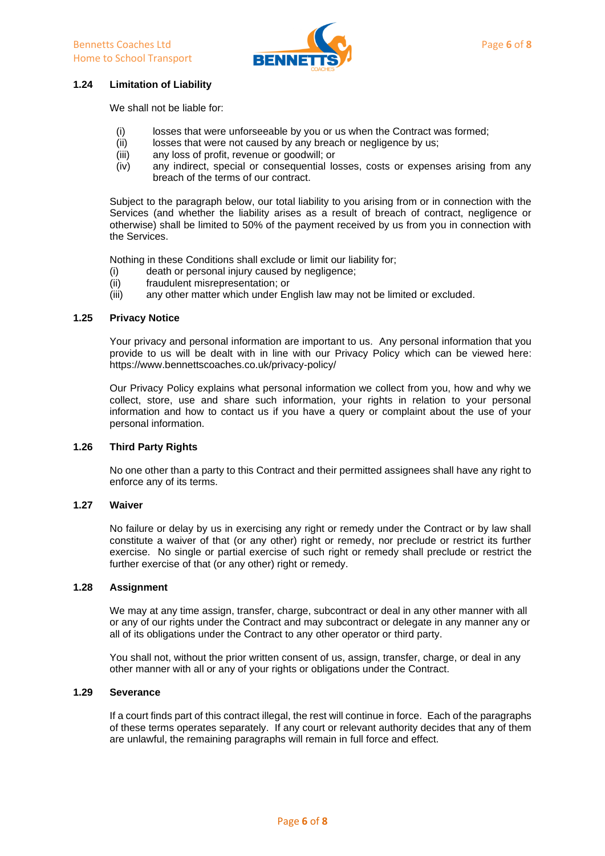

## **1.24 Limitation of Liability**

We shall not be liable for:

- (i) losses that were unforseeable by you or us when the Contract was formed;
- (ii) losses that were not caused by any breach or negligence by us;
- (iii) any loss of profit, revenue or goodwill; or
- (iv) any indirect, special or consequential losses, costs or expenses arising from any breach of the terms of our contract.

Subject to the paragraph below, our total liability to you arising from or in connection with the Services (and whether the liability arises as a result of breach of contract, negligence or otherwise) shall be limited to 50% of the payment received by us from you in connection with the Services.

Nothing in these Conditions shall exclude or limit our liability for;

- (i) death or personal injury caused by negligence;
- (ii) fraudulent misrepresentation; or
- (iii) any other matter which under English law may not be limited or excluded.

### **1.25 Privacy Notice**

Your privacy and personal information are important to us. Any personal information that you provide to us will be dealt with in line with our Privacy Policy which can be viewed here: https://www.bennettscoaches.co.uk/privacy-policy/

Our Privacy Policy explains what personal information we collect from you, how and why we collect, store, use and share such information, your rights in relation to your personal information and how to contact us if you have a query or complaint about the use of your personal information.

#### **1.26 Third Party Rights**

No one other than a party to this Contract and their permitted assignees shall have any right to enforce any of its terms.

#### **1.27 Waiver**

No failure or delay by us in exercising any right or remedy under the Contract or by law shall constitute a waiver of that (or any other) right or remedy, nor preclude or restrict its further exercise. No single or partial exercise of such right or remedy shall preclude or restrict the further exercise of that (or any other) right or remedy.

## **1.28 Assignment**

We may at any time assign, transfer, charge, subcontract or deal in any other manner with all or any of our rights under the Contract and may subcontract or delegate in any manner any or all of its obligations under the Contract to any other operator or third party.

You shall not, without the prior written consent of us, assign, transfer, charge, or deal in any other manner with all or any of your rights or obligations under the Contract.

## **1.29 Severance**

If a court finds part of this contract illegal, the rest will continue in force. Each of the paragraphs of these terms operates separately. If any court or relevant authority decides that any of them are unlawful, the remaining paragraphs will remain in full force and effect.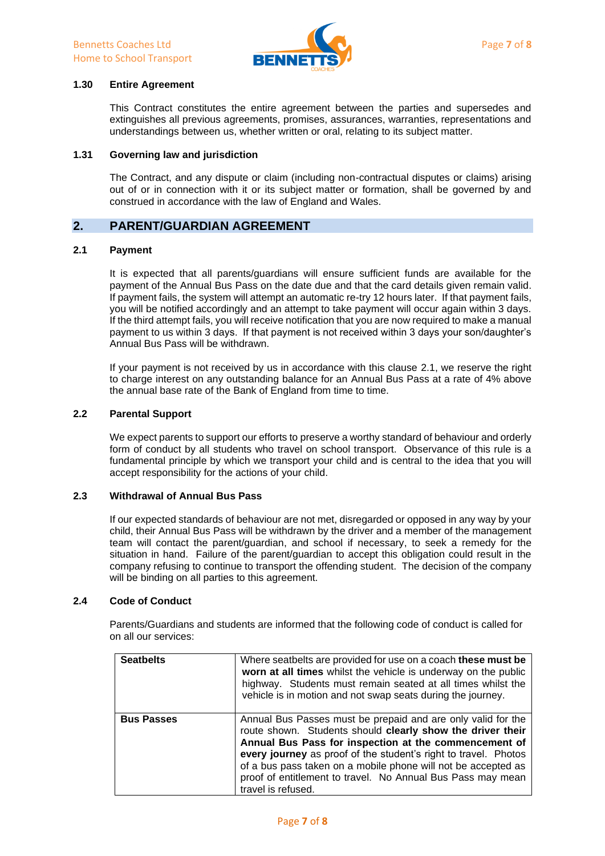

## **1.30 Entire Agreement**

This Contract constitutes the entire agreement between the parties and supersedes and extinguishes all previous agreements, promises, assurances, warranties, representations and understandings between us, whether written or oral, relating to its subject matter.

#### **1.31 Governing law and jurisdiction**

The Contract, and any dispute or claim (including non-contractual disputes or claims) arising out of or in connection with it or its subject matter or formation, shall be governed by and construed in accordance with the law of England and Wales.

## **2. PARENT/GUARDIAN AGREEMENT**

## **2.1 Payment**

It is expected that all parents/guardians will ensure sufficient funds are available for the payment of the Annual Bus Pass on the date due and that the card details given remain valid. If payment fails, the system will attempt an automatic re-try 12 hours later. If that payment fails, you will be notified accordingly and an attempt to take payment will occur again within 3 days. If the third attempt fails, you will receive notification that you are now required to make a manual payment to us within 3 days. If that payment is not received within 3 days your son/daughter's Annual Bus Pass will be withdrawn.

If your payment is not received by us in accordance with this clause 2.1, we reserve the right to charge interest on any outstanding balance for an Annual Bus Pass at a rate of 4% above the annual base rate of the Bank of England from time to time.

#### **2.2 Parental Support**

We expect parents to support our efforts to preserve a worthy standard of behaviour and orderly form of conduct by all students who travel on school transport. Observance of this rule is a fundamental principle by which we transport your child and is central to the idea that you will accept responsibility for the actions of your child.

## **2.3 Withdrawal of Annual Bus Pass**

If our expected standards of behaviour are not met, disregarded or opposed in any way by your child, their Annual Bus Pass will be withdrawn by the driver and a member of the management team will contact the parent/guardian, and school if necessary, to seek a remedy for the situation in hand. Failure of the parent/guardian to accept this obligation could result in the company refusing to continue to transport the offending student. The decision of the company will be binding on all parties to this agreement.

#### **2.4 Code of Conduct**

Parents/Guardians and students are informed that the following code of conduct is called for on all our services:

| <b>Seatbelts</b>  | Where seatbelts are provided for use on a coach these must be<br>worn at all times whilst the vehicle is underway on the public<br>highway. Students must remain seated at all times whilst the<br>vehicle is in motion and not swap seats during the journey.                                                                                                                                               |
|-------------------|--------------------------------------------------------------------------------------------------------------------------------------------------------------------------------------------------------------------------------------------------------------------------------------------------------------------------------------------------------------------------------------------------------------|
| <b>Bus Passes</b> | Annual Bus Passes must be prepaid and are only valid for the<br>route shown. Students should clearly show the driver their<br>Annual Bus Pass for inspection at the commencement of<br>every journey as proof of the student's right to travel. Photos<br>of a bus pass taken on a mobile phone will not be accepted as<br>proof of entitlement to travel. No Annual Bus Pass may mean<br>travel is refused. |